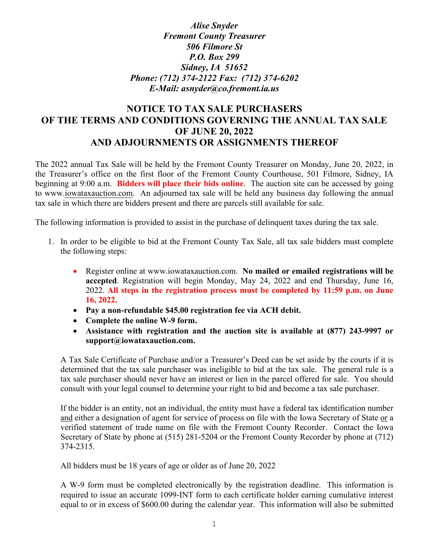## *Alise Snyder Fremont County Treasurer 506 Filmore St P.O. Box 299 Sidney, IA 51652 Phone: (712) 374-2122 Fax: (712) 374-6202 E-Mail: asnyder@co.fremont.ia.us*

# **NOTICE TO TAX SALE PURCHASERS OF THE TERMS AND CONDITIONS GOVERNING THE ANNUAL TAX SALE OF JUNE 20, 2022 AND ADJOURNMENTS OR ASSIGNMENTS THEREOF**

The 2022 annual Tax Sale will be held by the Fremont County Treasurer on Monday, June 20, 2022, in the Treasurer's office on the first floor of the Fremont County Courthouse, 501 Filmore, Sidney, IA beginning at 9:00 a.m. **Bidders will place their bids online**. The auction site can be accessed by going to [www.iowataxauction.com.](https://www.iowataxauction.com/) An adjourned tax sale will be held any business day following the annual tax sale in which there are bidders present and there are parcels still available for sale.

The following information is provided to assist in the purchase of delinquent taxes during the tax sale.

- 1. In order to be eligible to bid at the Fremont County Tax Sale, all tax sale bidders must complete the following steps:
	- Register online at www.iowataxauction.com. **No mailed or emailed registrations will be accepted**. Registration will begin Monday, May 24, 2022 and end Thursday, June 16, 2022. **All steps in the registration process must be completed by 11:59 p.m. on June 16, 2022.**
	- **Pay a non-refundable \$45.00 registration fee via ACH debit.**
	- **Complete the online W-9 form.**
	- **Assistance with registration and the auction site is available at (877) 243-9997 or support@iowataxauction.com.**

A Tax Sale Certificate of Purchase and/or a Treasurer's Deed can be set aside by the courts if it is determined that the tax sale purchaser was ineligible to bid at the tax sale. The general rule is a tax sale purchaser should never have an interest or lien in the parcel offered for sale. You should consult with your legal counsel to determine your right to bid and become a tax sale purchaser.

If the bidder is an entity, not an individual, the entity must have a federal tax identification number and either a designation of agent for service of process on file with the Iowa Secretary of State or a verified statement of trade name on file with the Fremont County Recorder. Contact the Iowa Secretary of State by phone at (515) 281-5204 or the Fremont County Recorder by phone at (712) 374-2315.

All bidders must be 18 years of age or older as of June 20, 2022

A W-9 form must be completed electronically by the registration deadline. This information is required to issue an accurate 1099-INT form to each certificate holder earning cumulative interest equal to or in excess of \$600.00 during the calendar year. This information will also be submitted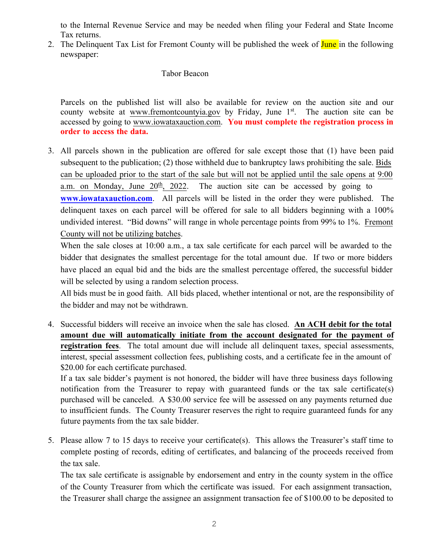to the Internal Revenue Service and may be needed when filing your Federal and State Income Tax returns.

2. The Delinquent Tax List for Fremont County will be published the week of **June** in the following newspaper:

#### Tabor Beacon

Parcels on the published list will also be available for review on the auction site and our county website at [www.fremontcountyia.gov](https://www.fremontcountyia.gov/) by Friday, June 1<sup>st</sup>. The auction site can be accessed by going to [www.iowataxauction.com](https://www.iowataxauction.com/). **You must complete the registration process in order to access the data.** 

3. All parcels shown in the publication are offered for sale except those that (1) have been paid subsequent to the publication; (2) those withheld due to bankruptcy laws prohibiting the sale. Bids can be uploaded prior to the start of the sale but will not be applied until the sale opens at 9:00 a.m. on Monday, June  $20^{\underline{th}}$ ,  $2022$ . The auction site can be accessed by going to **[www.iowataxauction.com](http://www.iowataxauction.com/)**. All parcels will be listed in the order they were published. The delinquent taxes on each parcel will be offered for sale to all bidders beginning with a 100% undivided interest. "Bid downs" will range in whole percentage points from 99% to 1%. Fremont County will not be utilizing batches.

When the sale closes at 10:00 a.m., a tax sale certificate for each parcel will be awarded to the bidder that designates the smallest percentage for the total amount due. If two or more bidders have placed an equal bid and the bids are the smallest percentage offered, the successful bidder will be selected by using a random selection process.

All bids must be in good faith. All bids placed, whether intentional or not, are the responsibility of the bidder and may not be withdrawn.

4. Successful bidders will receive an invoice when the sale has closed. **An ACH debit for the total amount due will automatically initiate from the account designated for the payment of registration fees**. The total amount due will include all delinquent taxes, special assessments, interest, special assessment collection fees, publishing costs, and a certificate fee in the amount of \$20.00 for each certificate purchased.

If a tax sale bidder's payment is not honored, the bidder will have three business days following notification from the Treasurer to repay with guaranteed funds or the tax sale certificate(s) purchased will be canceled. A \$30.00 service fee will be assessed on any payments returned due to insufficient funds. The County Treasurer reserves the right to require guaranteed funds for any future payments from the tax sale bidder.

5. Please allow 7 to 15 days to receive your certificate(s). This allows the Treasurer's staff time to complete posting of records, editing of certificates, and balancing of the proceeds received from the tax sale.

The tax sale certificate is assignable by endorsement and entry in the county system in the office of the County Treasurer from which the certificate was issued. For each assignment transaction, the Treasurer shall charge the assignee an assignment transaction fee of \$100.00 to be deposited to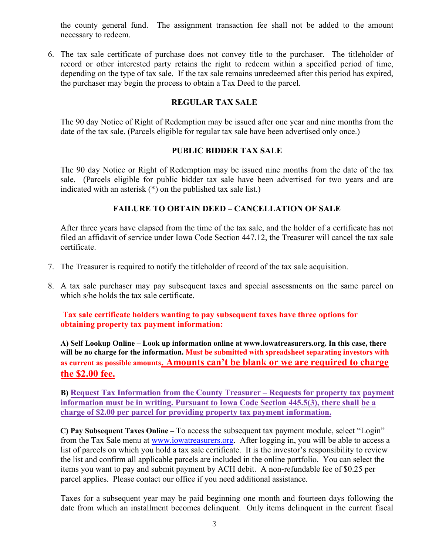the county general fund. The assignment transaction fee shall not be added to the amount necessary to redeem.

6. The tax sale certificate of purchase does not convey title to the purchaser. The titleholder of record or other interested party retains the right to redeem within a specified period of time, depending on the type of tax sale. If the tax sale remains unredeemed after this period has expired, the purchaser may begin the process to obtain a Tax Deed to the parcel.

### **REGULAR TAX SALE**

The 90 day Notice of Right of Redemption may be issued after one year and nine months from the date of the tax sale. (Parcels eligible for regular tax sale have been advertised only once.)

### **PUBLIC BIDDER TAX SALE**

The 90 day Notice or Right of Redemption may be issued nine months from the date of the tax sale. (Parcels eligible for public bidder tax sale have been advertised for two years and are indicated with an asterisk (\*) on the published tax sale list.)

### **FAILURE TO OBTAIN DEED – CANCELLATION OF SALE**

After three years have elapsed from the time of the tax sale, and the holder of a certificate has not filed an affidavit of service under Iowa Code Section 447.12, the Treasurer will cancel the tax sale certificate.

- 7. The Treasurer is required to notify the titleholder of record of the tax sale acquisition.
- 8. A tax sale purchaser may pay subsequent taxes and special assessments on the same parcel on which s/he holds the tax sale certificate.

**Tax sale certificate holders wanting to pay subsequent taxes have three options for obtaining property tax payment information:**

**A) Self Lookup Online – Look up information online at www.iowatreasurers.org. In this case, there will be no charge for the information. Must be submitted with spreadsheet separating investors with as current as possible amounts. Amounts can't be blank or we are required to charge the \$2.00 fee.** 

**B) Request Tax Information from the County Treasurer – Requests for property tax payment information must be in writing. Pursuant to Iowa Code Section 445.5(3), there shall be a charge of \$2.00 per parcel for providing property tax payment information.**

**C) Pay Subsequent Taxes Online –** To access the subsequent tax payment module, select "Login" from the Tax Sale menu at [www.iowatreasurers.org.](http://www.iowatreasurers.org/)After logging in, you will be able to access a list of parcels on which you hold a tax sale certificate. It is the investor's responsibility to review the list and confirm all applicable parcels are included in the online portfolio. You can select the items you want to pay and submit payment by ACH debit. A non-refundable fee of \$0.25 per parcel applies. Please contact our office if you need additional assistance.

Taxes for a subsequent year may be paid beginning one month and fourteen days following the date from which an installment becomes delinquent. Only items delinquent in the current fiscal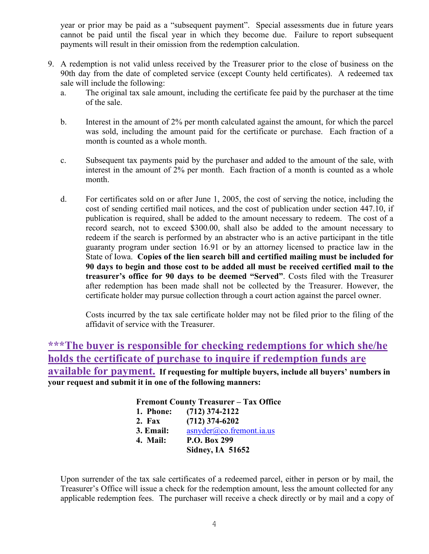year or prior may be paid as a "subsequent payment". Special assessments due in future years cannot be paid until the fiscal year in which they become due. Failure to report subsequent payments will result in their omission from the redemption calculation.

- 9. A redemption is not valid unless received by the Treasurer prior to the close of business on the 90th day from the date of completed service (except County held certificates). A redeemed tax sale will include the following:
	- a. The original tax sale amount, including the certificate fee paid by the purchaser at the time of the sale.
	- b. Interest in the amount of 2% per month calculated against the amount, for which the parcel was sold, including the amount paid for the certificate or purchase. Each fraction of a month is counted as a whole month.
	- c. Subsequent tax payments paid by the purchaser and added to the amount of the sale, with interest in the amount of 2% per month. Each fraction of a month is counted as a whole month.
	- d. For certificates sold on or after June 1, 2005, the cost of serving the notice, including the cost of sending certified mail notices, and the cost of publication under section 447.10, if publication is required, shall be added to the amount necessary to redeem. The cost of a record search, not to exceed \$300.00, shall also be added to the amount necessary to redeem if the search is performed by an abstracter who is an active participant in the title guaranty program under section 16.91 or by an attorney licensed to practice law in the State of Iowa. **Copies of the lien search bill and certified mailing must be included for 90 days to begin and those cost to be added all must be received certified mail to the treasurer's office for 90 days to be deemed "Served"**. Costs filed with the Treasurer after redemption has been made shall not be collected by the Treasurer. However, the certificate holder may pursue collection through a court action against the parcel owner.

Costs incurred by the tax sale certificate holder may not be filed prior to the filing of the affidavit of service with the Treasurer.

**\*\*\*The buyer is responsible for checking redemptions for which she/he holds the certificate of purchase to inquire if redemption funds are available for payment. If requesting for multiple buyers, include all buyers' numbers in your request and submit it in one of the following manners:**

| <b>Fremont County Treasurer - Tax Office</b> |                                     |
|----------------------------------------------|-------------------------------------|
| 1. Phone:                                    | $(712)$ 374-2122                    |
| 2. Fax                                       | $(712)$ 374-6202                    |
| 3. Email:                                    | $\frac{asnyder(a)co.$ fremont.ia.us |
| 4. Mail:                                     | P.O. Box 299                        |
|                                              | <b>Sidney, IA 51652</b>             |

Upon surrender of the tax sale certificates of a redeemed parcel, either in person or by mail, the Treasurer's Office will issue a check for the redemption amount, less the amount collected for any applicable redemption fees. The purchaser will receive a check directly or by mail and a copy of